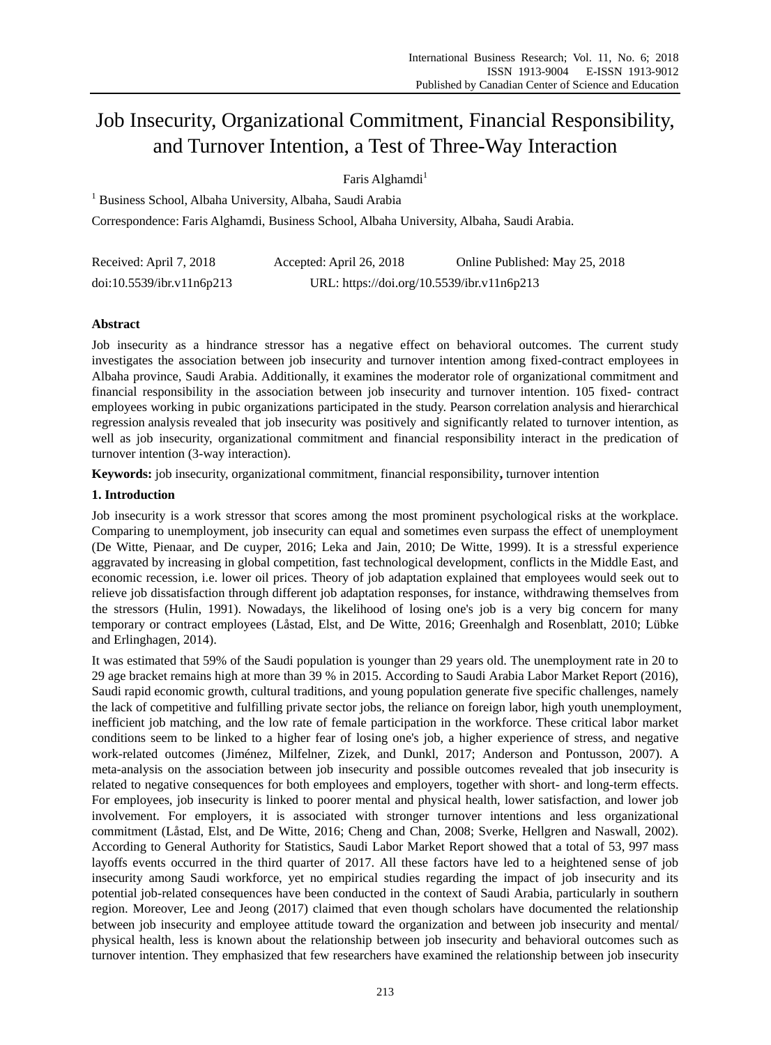# Job Insecurity, Organizational Commitment, Financial Responsibility, and Turnover Intention, a Test of Three-Way Interaction

Faris Alghamdi<sup>1</sup>

<sup>1</sup> Business School, Albaha University, Albaha, Saudi Arabia

Correspondence: Faris Alghamdi, Business School, Albaha University, Albaha, Saudi Arabia.

| Received: April 7, 2018   | Accepted: April 26, 2018                   | Online Published: May 25, 2018 |
|---------------------------|--------------------------------------------|--------------------------------|
| doi:10.5539/ibr.v11n6p213 | URL: https://doi.org/10.5539/ibr.v11n6p213 |                                |

# **Abstract**

Job insecurity as a hindrance stressor has a negative effect on behavioral outcomes. The current study investigates the association between job insecurity and turnover intention among fixed-contract employees in Albaha province, Saudi Arabia. Additionally, it examines the moderator role of organizational commitment and financial responsibility in the association between job insecurity and turnover intention. 105 fixed- contract employees working in pubic organizations participated in the study. Pearson correlation analysis and hierarchical regression analysis revealed that job insecurity was positively and significantly related to turnover intention, as well as job insecurity, organizational commitment and financial responsibility interact in the predication of turnover intention (3-way interaction).

**Keywords:** job insecurity, organizational commitment, financial responsibility**,** turnover intention

## **1. Introduction**

Job insecurity is a work stressor that scores among the most prominent psychological risks at the workplace. Comparing to unemployment, job insecurity can equal and sometimes even surpass the effect of unemployment (De Witte, Pienaar, and De cuyper, 2016; Leka and Jain, 2010; De Witte, 1999). It is a stressful experience aggravated by increasing in global competition, fast technological development, conflicts in the Middle East, and economic recession, i.e. lower oil prices. Theory of job adaptation explained that employees would seek out to relieve job dissatisfaction through different job adaptation responses, for instance, withdrawing themselves from the stressors (Hulin, 1991). Nowadays, the likelihood of losing one's job is a very big concern for many temporary or contract employees (Låstad, Elst, and De Witte, 2016; Greenhalgh and Rosenblatt, 2010; Lübke and Erlinghagen, 2014).

It was estimated that 59% of the Saudi population is younger than 29 years old. The unemployment rate in 20 to 29 age bracket remains high at more than 39 % in 2015. According to Saudi Arabia Labor Market Report (2016), Saudi rapid economic growth, cultural traditions, and young population generate five specific challenges, namely the lack of competitive and fulfilling private sector jobs, the reliance on foreign labor, high youth unemployment, inefficient job matching, and the low rate of female participation in the workforce. These critical labor market conditions seem to be linked to a higher fear of losing one's job, a higher experience of stress, and negative work-related outcomes (Jiménez, Milfelner, Zizek, and Dunkl, 2017; Anderson and Pontusson, 2007). A meta-analysis on the association between job insecurity and possible outcomes revealed that job insecurity is related to negative consequences for both employees and employers, together with short- and long-term effects. For employees, job insecurity is linked to poorer mental and physical health, lower satisfaction, and lower job involvement. For employers, it is associated with stronger turnover intentions and less organizational commitment (Låstad, Elst, and De Witte, 2016; Cheng and Chan, 2008; Sverke, Hellgren and Naswall, 2002). According to General Authority for Statistics, Saudi Labor Market Report showed that a total of 53, 997 mass layoffs events occurred in the third quarter of 2017. All these factors have led to a heightened sense of job insecurity among Saudi workforce, yet no empirical studies regarding the impact of job insecurity and its potential job-related consequences have been conducted in the context of Saudi Arabia, particularly in southern region. Moreover, Lee and Jeong (2017) claimed that even though scholars have documented the relationship between job insecurity and employee attitude toward the organization and between job insecurity and mental/ physical health, less is known about the relationship between job insecurity and behavioral outcomes such as turnover intention. They emphasized that few researchers have examined the relationship between job insecurity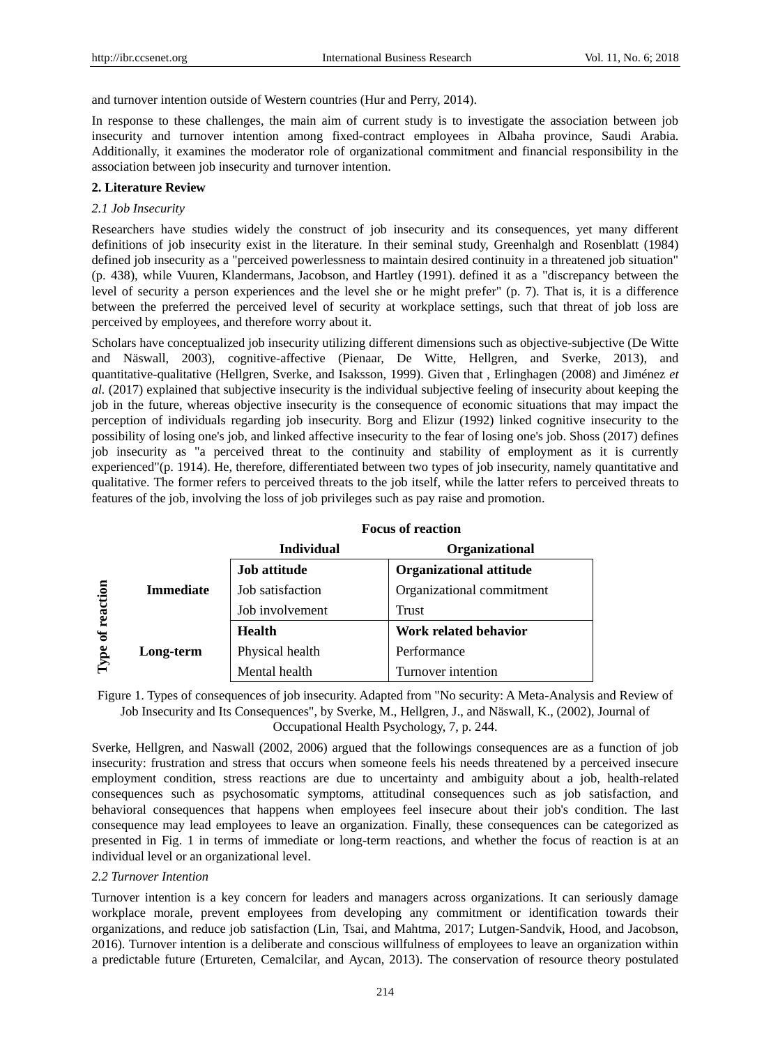and turnover intention outside of Western countries (Hur and Perry, 2014).

In response to these challenges, the main aim of current study is to investigate the association between job insecurity and turnover intention among fixed-contract employees in Albaha province, Saudi Arabia. Additionally, it examines the moderator role of organizational commitment and financial responsibility in the association between job insecurity and turnover intention.

## **2. Literature Review**

## *2.1 Job Insecurity*

Researchers have studies widely the construct of job insecurity and its consequences, yet many different definitions of job insecurity exist in the literature. In their seminal study, Greenhalgh and Rosenblatt (1984) defined job insecurity as a "perceived powerlessness to maintain desired continuity in a threatened job situation" (p. 438), while Vuuren, Klandermans, Jacobson, and Hartley (1991). defined it as a "discrepancy between the level of security a person experiences and the level she or he might prefer" (p. 7). That is, it is a difference between the preferred the perceived level of security at workplace settings, such that threat of job loss are perceived by employees, and therefore worry about it.

Scholars have conceptualized job insecurity utilizing different dimensions such as objective-subjective (De Witte and Näswall, 2003), cognitive-affective (Pienaar, De Witte, Hellgren, and Sverke, 2013), and quantitative-qualitative (Hellgren, Sverke, and Isaksson, 1999). Given that , Erlinghagen (2008) and Jiménez *et al.* (2017) explained that subjective insecurity is the individual subjective feeling of insecurity about keeping the job in the future, whereas objective insecurity is the consequence of economic situations that may impact the perception of individuals regarding job insecurity. Borg and Elizur (1992) linked cognitive insecurity to the possibility of losing one's job, and linked affective insecurity to the fear of losing one's job. Shoss (2017) defines job insecurity as "a perceived threat to the continuity and stability of employment as it is currently experienced"(p. 1914). He, therefore, differentiated between two types of job insecurity, namely quantitative and qualitative. The former refers to perceived threats to the job itself, while the latter refers to perceived threats to features of the job, involving the loss of job privileges such as pay raise and promotion.

|      |                  | <b>Individual</b> | Organizational                 |
|------|------------------|-------------------|--------------------------------|
|      |                  | Job attitude      | <b>Organizational attitude</b> |
| tion | <b>Immediate</b> | Job satisfaction  | Organizational commitment      |
|      |                  | Job involvement   | <b>Trust</b>                   |
|      |                  | <b>Health</b>     | Work related behavior          |
| pe   | Long-term        | Physical health   | Performance                    |
|      |                  | Mental health     | Turnover intention             |

# **Focus of reaction**

Figure 1. Types of consequences of job insecurity. Adapted from "No security: A Meta-Analysis and Review of Job Insecurity and Its Consequences", by Sverke, M., Hellgren, J., and Näswall, K., (2002), Journal of Occupational Health Psychology, 7, p. 244.

Sverke, Hellgren, and Naswall (2002, 2006) argued that the followings consequences are as a function of job insecurity: frustration and stress that occurs when someone feels his needs threatened by a perceived insecure employment condition, stress reactions are due to uncertainty and ambiguity about a job, health-related consequences such as psychosomatic symptoms, attitudinal consequences such as job satisfaction, and behavioral consequences that happens when employees feel insecure about their job's condition. The last consequence may lead employees to leave an organization. Finally, these consequences can be categorized as presented in Fig. 1 in terms of immediate or long-term reactions, and whether the focus of reaction is at an individual level or an organizational level. **Example 1**<br> **Example 10**<br> **Example 10**<br> **Example 10**<br> **Example 10**<br> **Example 10**<br> **Example 10**<br> **Example 10**<br> **Example 10**<br> **Example 10**<br> **Example 11**<br> **Example 11**<br> **Example 11**<br> **Example 11**<br> **Example 11**<br> **Example 11**<br>

## *2.2 Turnover Intention*

Turnover intention is a key concern for leaders and managers across organizations. It can seriously damage workplace morale, prevent employees from developing any commitment or identification towards their organizations, and reduce job satisfaction (Lin, Tsai, and Mahtma, 2017; Lutgen-Sandvik, Hood, and Jacobson, 2016). Turnover intention is a deliberate and conscious willfulness of employees to leave an organization within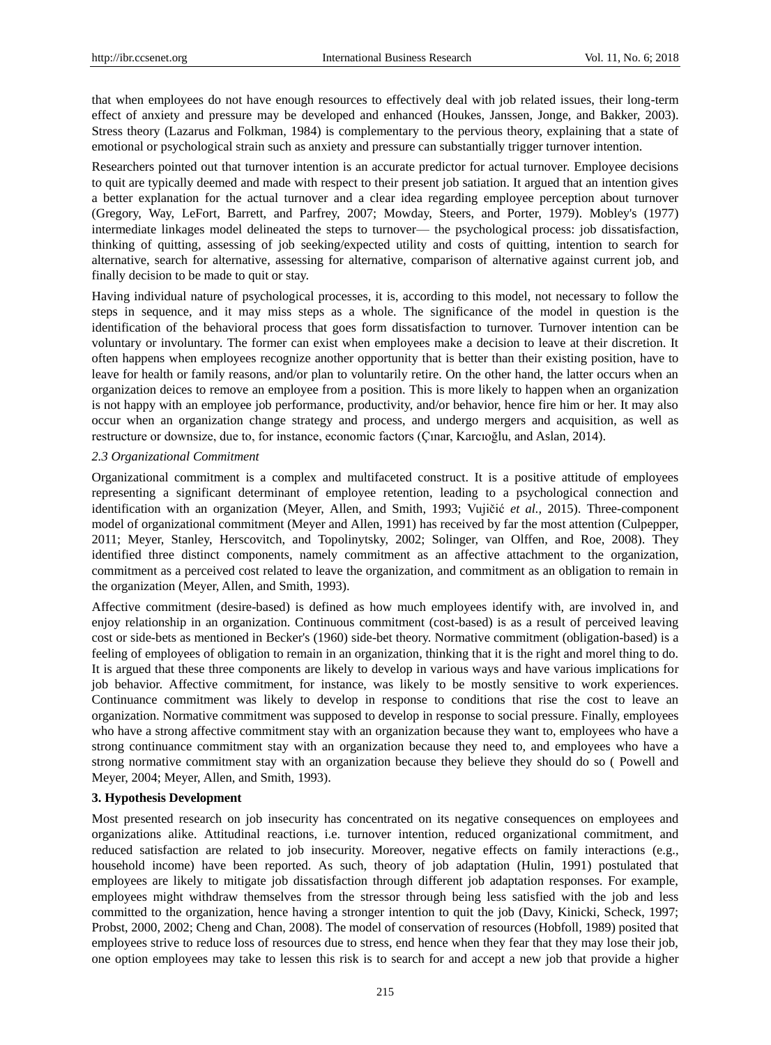that when employees do not have enough resources to effectively deal with job related issues, their long-term effect of anxiety and pressure may be developed and enhanced (Houkes, Janssen, Jonge, and Bakker, 2003). Stress theory (Lazarus and Folkman, 1984) is complementary to the pervious theory, explaining that a state of emotional or psychological strain such as anxiety and pressure can substantially trigger turnover intention.

Researchers pointed out that turnover intention is an accurate predictor for actual turnover. Employee decisions to quit are typically deemed and made with respect to their present job satiation. It argued that an intention gives a better explanation for the actual turnover and a clear idea regarding employee perception about turnover (Gregory, Way, LeFort, Barrett, and Parfrey, 2007; Mowday, Steers, and Porter, 1979). Mobley's (1977) intermediate linkages model delineated the steps to turnover— the psychological process: job dissatisfaction, thinking of quitting, assessing of job seeking/expected utility and costs of quitting, intention to search for alternative, search for alternative, assessing for alternative, comparison of alternative against current job, and finally decision to be made to quit or stay.

Having individual nature of psychological processes, it is, according to this model, not necessary to follow the steps in sequence, and it may miss steps as a whole. The significance of the model in question is the identification of the behavioral process that goes form dissatisfaction to turnover. Turnover intention can be voluntary or involuntary. The former can exist when employees make a decision to leave at their discretion. It often happens when employees recognize another opportunity that is better than their existing position, have to leave for health or family reasons, and/or plan to voluntarily retire. On the other hand, the latter occurs when an organization deices to remove an employee from a position. This is more likely to happen when an organization is not happy with an employee job performance, productivity, and/or behavior, hence fire him or her. It may also occur when an organization change strategy and process, and undergo mergers and acquisition, as well as restructure or downsize, due to, for instance, economic factors (Çınar, Karcıoğlu, and Aslan, 2014).

## *2.3 Organizational Commitment*

Organizational commitment is a complex and multifaceted construct. It is a positive attitude of employees representing a significant determinant of employee retention, leading to a psychological connection and identification with an organization (Meyer, Allen, and Smith, 1993; Vujičić *et al.,* 2015). Three-component model of organizational commitment (Meyer and Allen, 1991) has received by far the most attention (Culpepper, 2011; Meyer, Stanley, Herscovitch, and Topolinytsky, 2002; Solinger, van Olffen, and Roe, 2008). They identified three distinct components, namely commitment as an affective attachment to the organization, commitment as a perceived cost related to leave the organization, and commitment as an obligation to remain in the organization (Meyer, Allen, and Smith, 1993).

Affective commitment (desire-based) is defined as how much employees identify with, are involved in, and enjoy relationship in an organization. Continuous commitment (cost-based) is as a result of perceived leaving cost or side-bets as mentioned in Becker's (1960) side-bet theory. Normative commitment (obligation-based) is a feeling of employees of obligation to remain in an organization, thinking that it is the right and morel thing to do. It is argued that these three components are likely to develop in various ways and have various implications for job behavior. Affective commitment, for instance, was likely to be mostly sensitive to work experiences. Continuance commitment was likely to develop in response to conditions that rise the cost to leave an organization. Normative commitment was supposed to develop in response to social pressure. Finally, employees who have a strong affective commitment stay with an organization because they want to, employees who have a strong continuance commitment stay with an organization because they need to, and employees who have a strong normative commitment stay with an organization because they believe they should do so ( Powell and Meyer, 2004; Meyer, Allen, and Smith, 1993).

## **3. Hypothesis Development**

Most presented research on job insecurity has concentrated on its negative consequences on employees and organizations alike. Attitudinal reactions, i.e. turnover intention, reduced organizational commitment, and reduced satisfaction are related to job insecurity. Moreover, negative effects on family interactions (e.g., household income) have been reported. As such, theory of job adaptation (Hulin, 1991) postulated that employees are likely to mitigate job dissatisfaction through different job adaptation responses. For example, employees might withdraw themselves from the stressor through being less satisfied with the job and less committed to the organization, hence having a stronger intention to quit the job (Davy, Kinicki, Scheck, 1997; Probst, 2000, 2002; Cheng and Chan, 2008). The model of conservation of resources (Hobfoll, 1989) posited that employees strive to reduce loss of resources due to stress, end hence when they fear that they may lose their job, one option employees may take to lessen this risk is to search for and accept a new job that provide a higher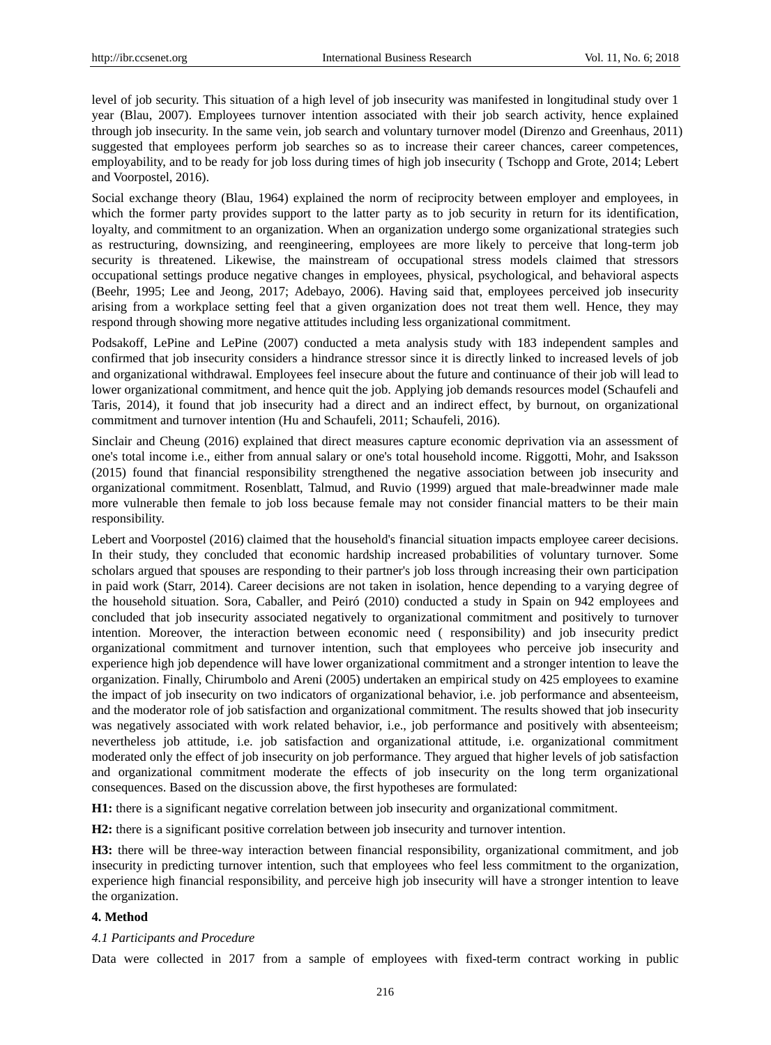level of job security. This situation of a high level of job insecurity was manifested in longitudinal study over 1 year (Blau, 2007). Employees turnover intention associated with their job search activity, hence explained through job insecurity. In the same vein, job search and voluntary turnover model (Direnzo and Greenhaus, 2011) suggested that employees perform job searches so as to increase their career chances, career competences, employability, and to be ready for job loss during times of high job insecurity ( Tschopp and Grote, 2014; Lebert and Voorpostel, 2016).

Social exchange theory (Blau, 1964) explained the norm of reciprocity between employer and employees, in which the former party provides support to the latter party as to job security in return for its identification, loyalty, and commitment to an organization. When an organization undergo some organizational strategies such as restructuring, downsizing, and reengineering, employees are more likely to perceive that long-term job security is threatened. Likewise, the mainstream of occupational stress models claimed that stressors occupational settings produce negative changes in employees, physical, psychological, and behavioral aspects (Beehr, 1995; Lee and Jeong, 2017; Adebayo, 2006). Having said that, employees perceived job insecurity arising from a workplace setting feel that a given organization does not treat them well. Hence, they may respond through showing more negative attitudes including less organizational commitment.

Podsakoff, LePine and LePine (2007) conducted a meta analysis study with 183 independent samples and confirmed that job insecurity considers a hindrance stressor since it is directly linked to increased levels of job and organizational withdrawal. Employees feel insecure about the future and continuance of their job will lead to lower organizational commitment, and hence quit the job. Applying job demands resources model (Schaufeli and Taris, 2014), it found that job insecurity had a direct and an indirect effect, by burnout, on organizational commitment and turnover intention (Hu and Schaufeli, 2011; Schaufeli, 2016).

Sinclair and Cheung (2016) explained that direct measures capture economic deprivation via an assessment of one's total income i.e., either from annual salary or one's total household income. Riggotti, Mohr, and Isaksson (2015) found that financial responsibility strengthened the negative association between job insecurity and organizational commitment. Rosenblatt, Talmud, and Ruvio (1999) argued that male-breadwinner made male more vulnerable then female to job loss because female may not consider financial matters to be their main responsibility.

Lebert and Voorpostel (2016) claimed that the household's financial situation impacts employee career decisions. In their study, they concluded that economic hardship increased probabilities of voluntary turnover. Some scholars argued that spouses are responding to their partner's job loss through increasing their own participation in paid work (Starr, 2014). Career decisions are not taken in isolation, hence depending to a varying degree of the household situation. Sora, Caballer, and Peiró(2010) conducted a study in Spain on 942 employees and concluded that job insecurity associated negatively to organizational commitment and positively to turnover intention. Moreover, the interaction between economic need ( responsibility) and job insecurity predict organizational commitment and turnover intention, such that employees who perceive job insecurity and experience high job dependence will have lower organizational commitment and a stronger intention to leave the organization. Finally, Chirumbolo and Areni (2005) undertaken an empirical study on 425 employees to examine the impact of job insecurity on two indicators of organizational behavior, i.e. job performance and absenteeism, and the moderator role of job satisfaction and organizational commitment. The results showed that job insecurity was negatively associated with work related behavior, i.e., job performance and positively with absenteeism; nevertheless job attitude, i.e. job satisfaction and organizational attitude, i.e. organizational commitment moderated only the effect of job insecurity on job performance. They argued that higher levels of job satisfaction and organizational commitment moderate the effects of job insecurity on the long term organizational consequences. Based on the discussion above, the first hypotheses are formulated:

**H1:** there is a significant negative correlation between job insecurity and organizational commitment.

**H2:** there is a significant positive correlation between job insecurity and turnover intention.

**H3:** there will be three-way interaction between financial responsibility, organizational commitment, and job insecurity in predicting turnover intention, such that employees who feel less commitment to the organization, experience high financial responsibility, and perceive high job insecurity will have a stronger intention to leave the organization.

## **4. Method**

#### *4.1 Participants and Procedure*

Data were collected in 2017 from a sample of employees with fixed-term contract working in public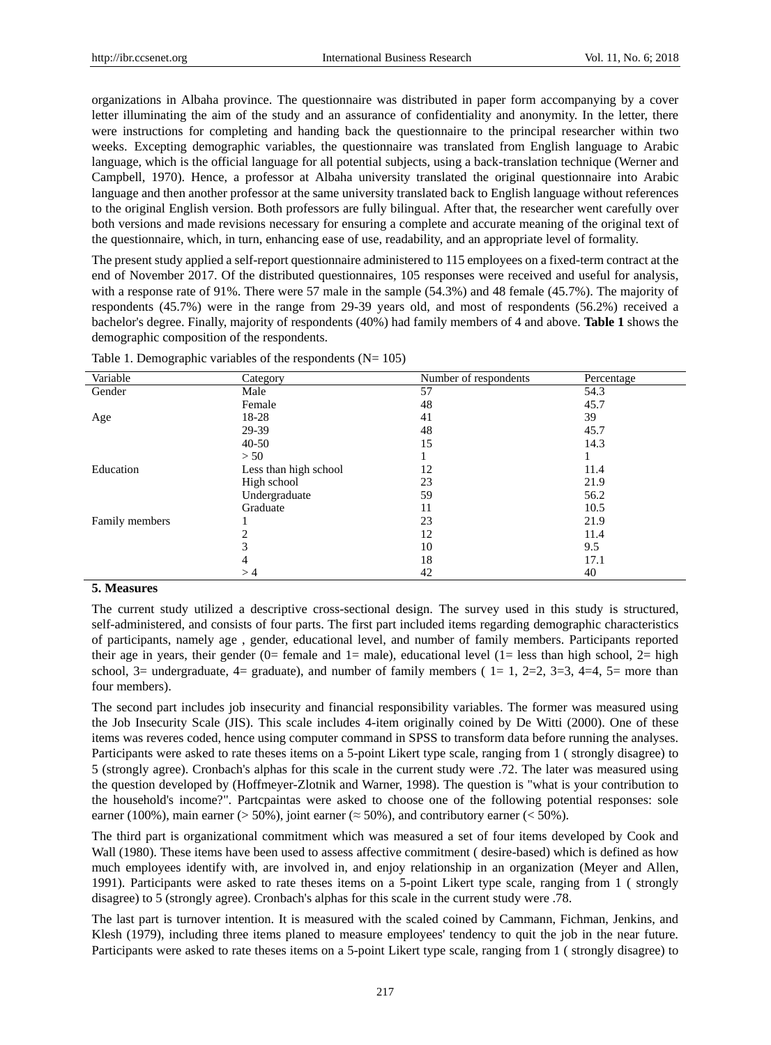organizations in Albaha province. The questionnaire was distributed in paper form accompanying by a cover letter illuminating the aim of the study and an assurance of confidentiality and anonymity. In the letter, there were instructions for completing and handing back the questionnaire to the principal researcher within two weeks. Excepting demographic variables, the questionnaire was translated from English language to Arabic language, which is the official language for all potential subjects, using a back-translation technique (Werner and Campbell, 1970). Hence, a professor at Albaha university translated the original questionnaire into Arabic language and then another professor at the same university translated back to English language without references to the original English version. Both professors are fully bilingual. After that, the researcher went carefully over both versions and made revisions necessary for ensuring a complete and accurate meaning of the original text of the questionnaire, which, in turn, enhancing ease of use, readability, and an appropriate level of formality.

The present study applied a self-report questionnaire administered to 115 employees on a fixed-term contract at the end of November 2017. Of the distributed questionnaires, 105 responses were received and useful for analysis, with a response rate of 91%. There were 57 male in the sample (54.3%) and 48 female (45.7%). The majority of respondents (45.7%) were in the range from 29-39 years old, and most of respondents (56.2%) received a bachelor's degree. Finally, majority of respondents (40%) had family members of 4 and above. **Table 1** shows the demographic composition of the respondents.

| Variable       | Category              | Number of respondents | Percentage |
|----------------|-----------------------|-----------------------|------------|
| Gender         | Male                  | 57                    | 54.3       |
|                | Female                | 48                    | 45.7       |
| Age            | 18-28                 | 41                    | 39         |
|                | 29-39                 | 48                    | 45.7       |
|                | $40 - 50$             | 15                    | 14.3       |
|                | > 50                  |                       |            |
| Education      | Less than high school | 12                    | 11.4       |
|                | High school           | 23                    | 21.9       |
|                | Undergraduate         | 59                    | 56.2       |
|                | Graduate              | 11                    | 10.5       |
| Family members |                       | 23                    | 21.9       |
|                |                       | 12                    | 11.4       |
|                | 3                     | 10                    | 9.5        |
|                | 4                     | 18                    | 17.1       |
|                | >4                    | 42                    | 40         |

Table 1. Demographic variables of the respondents  $(N= 105)$ 

#### **5. Measures**

The current study utilized a descriptive cross-sectional design. The survey used in this study is structured, self-administered, and consists of four parts. The first part included items regarding demographic characteristics of participants, namely age , gender, educational level, and number of family members. Participants reported their age in years, their gender (0= female and 1= male), educational level (1= less than high school, 2= high school,  $3=$  undergraduate,  $4=$  graduate), and number of family members ( $1=1$ ,  $2=2$ ,  $3=3$ ,  $4=4$ ,  $5=$  more than four members).

The second part includes job insecurity and financial responsibility variables. The former was measured using the Job Insecurity Scale (JIS). This scale includes 4-item originally coined by De Witti (2000). One of these items was reveres coded, hence using computer command in SPSS to transform data before running the analyses. Participants were asked to rate theses items on a 5-point Likert type scale, ranging from 1 ( strongly disagree) to 5 (strongly agree). Cronbach's alphas for this scale in the current study were .72. The later was measured using the question developed by (Hoffmeyer-Zlotnik and Warner, 1998). The question is "what is your contribution to the household's income?". Partcpaintas were asked to choose one of the following potential responses: sole earner (100%), main earner (> 50%), joint earner ( $\approx$  50%), and contributory earner ( $\lt$  50%).

The third part is organizational commitment which was measured a set of four items developed by Cook and Wall (1980). These items have been used to assess affective commitment (desire-based) which is defined as how much employees identify with, are involved in, and enjoy relationship in an organization (Meyer and Allen, 1991). Participants were asked to rate theses items on a 5-point Likert type scale, ranging from 1 ( strongly disagree) to 5 (strongly agree). Cronbach's alphas for this scale in the current study were .78.

The last part is turnover intention. It is measured with the scaled coined by Cammann, Fichman, Jenkins, and Klesh (1979), including three items planed to measure employees' tendency to quit the job in the near future. Participants were asked to rate theses items on a 5-point Likert type scale, ranging from 1 ( strongly disagree) to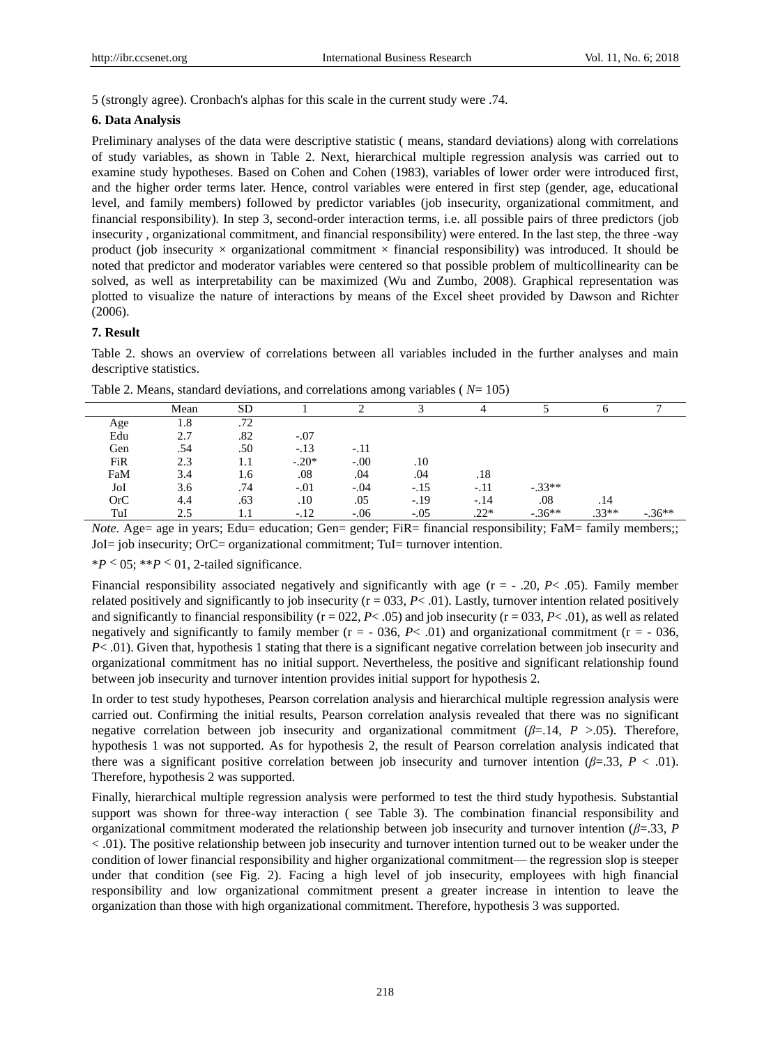5 (strongly agree). Cronbach's alphas for this scale in the current study were .74.

## **6. Data Analysis**

Preliminary analyses of the data were descriptive statistic ( means, standard deviations) along with correlations of study variables, as shown in Table 2. Next, hierarchical multiple regression analysis was carried out to examine study hypotheses. Based on Cohen and Cohen (1983), variables of lower order were introduced first, and the higher order terms later. Hence, control variables were entered in first step (gender, age, educational level, and family members) followed by predictor variables (job insecurity, organizational commitment, and financial responsibility). In step 3, second-order interaction terms, i.e. all possible pairs of three predictors (job insecurity , organizational commitment, and financial responsibility) were entered. In the last step, the three -way product (job insecurity  $\times$  organizational commitment  $\times$  financial responsibility) was introduced. It should be noted that predictor and moderator variables were centered so that possible problem of multicollinearity can be solved, as well as interpretability can be maximized (Wu and Zumbo, 2008). Graphical representation was plotted to visualize the nature of interactions by means of the Excel sheet provided by Dawson and Richter (2006).

## **7. Result**

Table 2. shows an overview of correlations between all variables included in the further analyses and main descriptive statistics.

|     | Mean    | <b>SD</b> |         |        |        |        |          |         |          |
|-----|---------|-----------|---------|--------|--------|--------|----------|---------|----------|
| Age | $1.8\,$ | .72       |         |        |        |        |          |         |          |
| Edu | 2.7     | .82       | $-.07$  |        |        |        |          |         |          |
| Gen | .54     | .50       | $-.13$  | $-.11$ |        |        |          |         |          |
| FiR | 2.3     | 1.1       | $-.20*$ | $-.00$ | .10    |        |          |         |          |
| FaM | 3.4     | 1.6       | .08     | .04    | .04    | .18    |          |         |          |
| JoI | 3.6     | .74       | $-.01$  | $-.04$ | $-.15$ | $-.11$ | $-.33**$ |         |          |
| OrC | 4.4     | .63       | .10     | .05    | $-.19$ | $-.14$ | .08      | .14     |          |
| TuI | 2.5     |           | $-.12$  | $-.06$ | $-.05$ | $.22*$ | $-.36**$ | $.33**$ | $-.36**$ |

Table 2. Means, standard deviations, and correlations among variables ( *N*= 105)

*Note*. Age= age in years; Edu= education; Gen= gender; FiR= financial responsibility; FaM= family members;; JoI= job insecurity; OrC= organizational commitment; TuI= turnover intention.

 $*P < 05$ ;  $*P < 01$ , 2-tailed significance.

Financial responsibility associated negatively and significantly with age (r = - .20, *P*< .05). Family member related positively and significantly to job insecurity  $(r = 033, P < .01)$ . Lastly, turnover intention related positively and significantly to financial responsibility ( $r = 022$ ,  $P < .05$ ) and job insecurity ( $r = 033$ ,  $P < .01$ ), as well as related negatively and significantly to family member  $(r = -036, P < .01)$  and organizational commitment  $(r = -036, P < .01)$ *P*< .01). Given that, hypothesis 1 stating that there is a significant negative correlation between job insecurity and organizational commitment has no initial support. Nevertheless, the positive and significant relationship found between job insecurity and turnover intention provides initial support for hypothesis 2.

In order to test study hypotheses, Pearson correlation analysis and hierarchical multiple regression analysis were carried out. Confirming the initial results, Pearson correlation analysis revealed that there was no significant negative correlation between job insecurity and organizational commitment (*β*=.14, *P* >.05). Therefore, hypothesis 1 was not supported. As for hypothesis 2, the result of Pearson correlation analysis indicated that there was a significant positive correlation between job insecurity and turnover intention  $(\beta = .33, P < .01)$ . Therefore, hypothesis 2 was supported.

Finally, hierarchical multiple regression analysis were performed to test the third study hypothesis. Substantial support was shown for three-way interaction ( see Table 3). The combination financial responsibility and organizational commitment moderated the relationship between job insecurity and turnover intention (*β*=.33, *P* < .01). The positive relationship between job insecurity and turnover intention turned out to be weaker under the condition of lower financial responsibility and higher organizational commitment— the regression slop is steeper under that condition (see Fig. 2). Facing a high level of job insecurity, employees with high financial responsibility and low organizational commitment present a greater increase in intention to leave the organization than those with high organizational commitment. Therefore, hypothesis 3 was supported.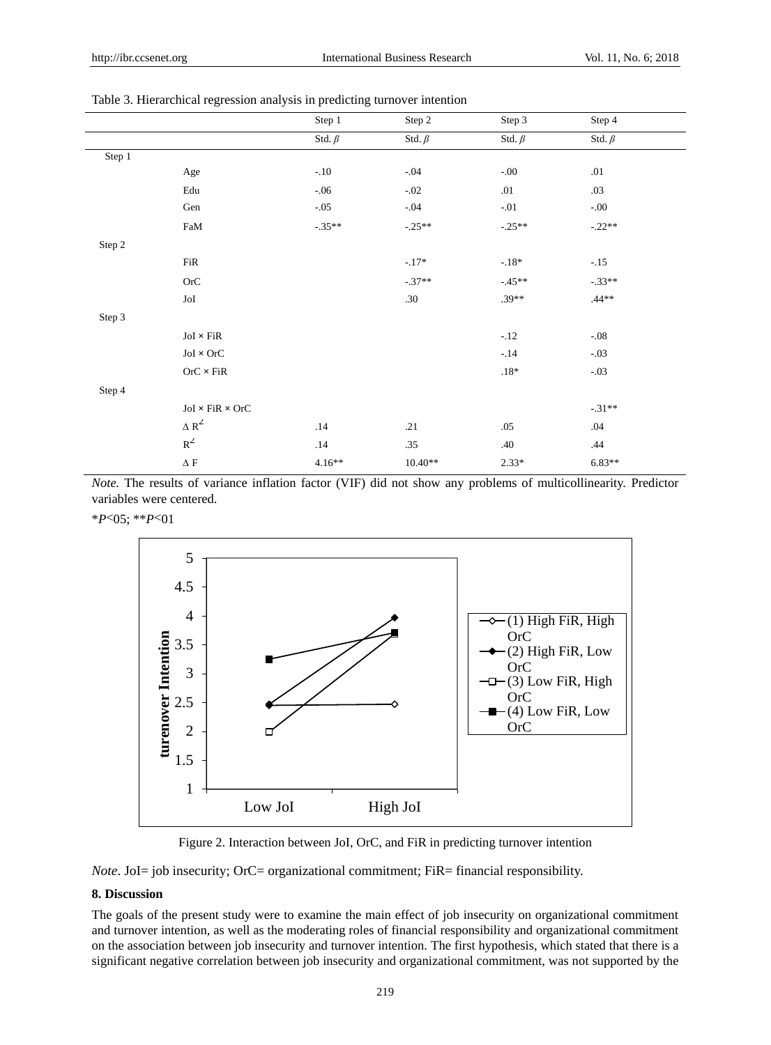|        |                                  | Step 1        | Step 2       | Step 3       | Step 4       |
|--------|----------------------------------|---------------|--------------|--------------|--------------|
|        |                                  | Std. $\beta$  | Std. $\beta$ | Std. $\beta$ | Std. $\beta$ |
| Step 1 |                                  |               |              |              |              |
|        | Age                              | $\text{-}.10$ | $-.04$       | $-.00$       | $.01\,$      |
|        | Edu                              | $-.06$        | $-.02$       | .01          | .03          |
|        | Gen                              | $-.05$        | $-.04$       | $-.01$       | $-00.$       |
|        | FaM                              | $-35**$       | $-0.25**$    | $-25**$      | $-.22**$     |
| Step 2 |                                  |               |              |              |              |
|        | FiR                              |               | $-.17*$      | $-18*$       | $-15$        |
|        | OrC                              |               | $-.37**$     | $-45**$      | $-.33**$     |
|        | ${\rm JoI}$                      |               | .30          | $.39**$      | $.44**$      |
| Step 3 |                                  |               |              |              |              |
|        | JoI $\times$ FiR                 |               |              | $-.12$       | $-.08$       |
|        | $\mathrm{Jol}\times\mathrm{OrC}$ |               |              | $-14$        | $-.03$       |
|        | OrC $\times$ FiR                 |               |              | $.18*$       | $-.03$       |
| Step 4 |                                  |               |              |              |              |
|        | JoI $\times$ FiR $\times$ OrC    |               |              |              | $-.31**$     |
|        | $\Delta$ $\text{R}^2$            | .14           | .21          | $.05\,$      | .04          |
|        | $\mathbf{R}^Z$                   | .14           | .35          | .40          | .44          |
|        | $\Delta$ F                       | $4.16**$      | $10.40**$    | $2.33*$      | $6.83**$     |

Table 3. Hierarchical regression analysis in predicting turnover intention

*Note.* The results of variance inflation factor (VIF) did not show any problems of multicollinearity. Predictor variables were centered.

\**P*<05; \*\**P*<01



Figure 2. Interaction between JoI, OrC, and FiR in predicting turnover intention

*Note*. JoI= job insecurity; OrC= organizational commitment; FiR= financial responsibility.

# **8. Discussion**

The goals of the present study were to examine the main effect of job insecurity on organizational commitment and turnover intention, as well as the moderating roles of financial responsibility and organizational commitment on the association between job insecurity and turnover intention. The first hypothesis, which stated that there is a significant negative correlation between job insecurity and organizational commitment, was not supported by the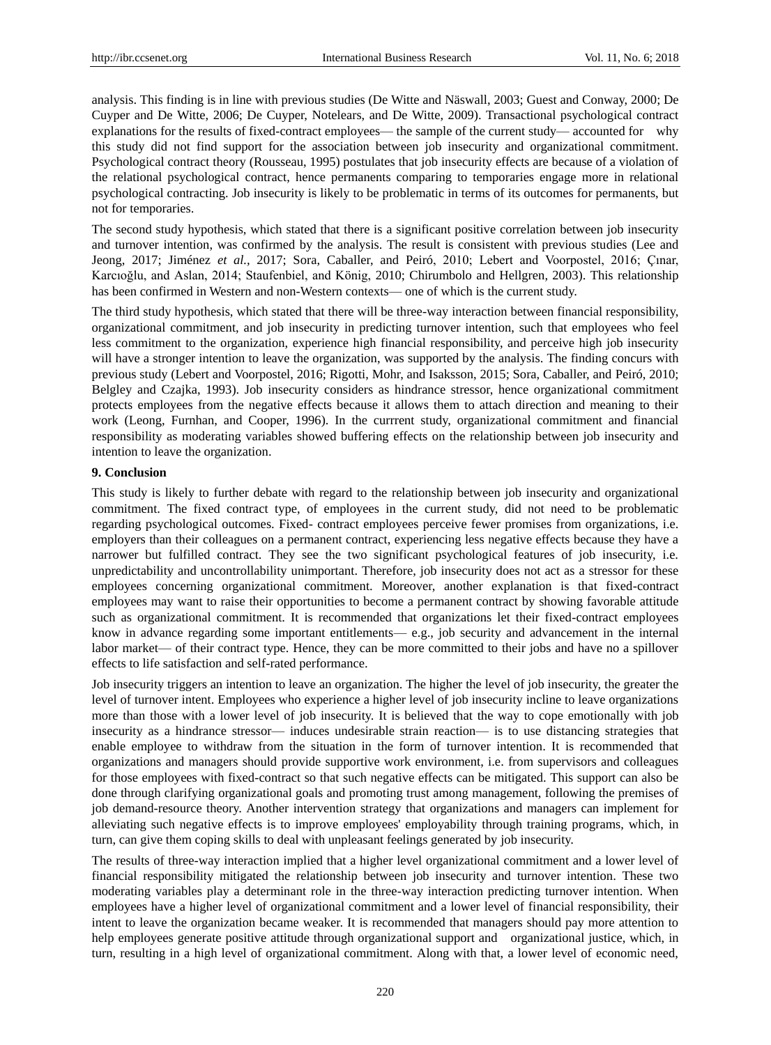analysis. This finding is in line with previous studies (De Witte and Näswall, 2003; Guest and Conway, 2000; De Cuyper and De Witte, 2006; De Cuyper, Notelears, and De Witte, 2009). Transactional psychological contract explanations for the results of fixed-contract employees— the sample of the current study— accounted for why this study did not find support for the association between job insecurity and organizational commitment. Psychological contract theory (Rousseau, 1995) postulates that job insecurity effects are because of a violation of the relational psychological contract, hence permanents comparing to temporaries engage more in relational psychological contracting. Job insecurity is likely to be problematic in terms of its outcomes for permanents, but not for temporaries.

The second study hypothesis, which stated that there is a significant positive correlation between job insecurity and turnover intention, was confirmed by the analysis. The result is consistent with previous studies (Lee and Jeong, 2017; Jiménez *et al.,* 2017; Sora, Caballer, and Peiró, 2010; Lebert and Voorpostel, 2016; Çınar, Karcıoğlu, and Aslan, 2014; Staufenbiel, and König, 2010; Chirumbolo and Hellgren, 2003). This relationship has been confirmed in Western and non-Western contexts— one of which is the current study.

The third study hypothesis, which stated that there will be three-way interaction between financial responsibility, organizational commitment, and job insecurity in predicting turnover intention, such that employees who feel less commitment to the organization, experience high financial responsibility, and perceive high job insecurity will have a stronger intention to leave the organization, was supported by the analysis. The finding concurs with previous study (Lebert and Voorpostel, 2016; Rigotti, Mohr, and Isaksson, 2015; Sora, Caballer, and Peiró, 2010; Belgley and Czajka, 1993). Job insecurity considers as hindrance stressor, hence organizational commitment protects employees from the negative effects because it allows them to attach direction and meaning to their work (Leong, Furnhan, and Cooper, 1996). In the currrent study, organizational commitment and financial responsibility as moderating variables showed buffering effects on the relationship between job insecurity and intention to leave the organization.

#### **9. Conclusion**

This study is likely to further debate with regard to the relationship between job insecurity and organizational commitment. The fixed contract type, of employees in the current study, did not need to be problematic regarding psychological outcomes. Fixed- contract employees perceive fewer promises from organizations, i.e. employers than their colleagues on a permanent contract, experiencing less negative effects because they have a narrower but fulfilled contract. They see the two significant psychological features of job insecurity, i.e. unpredictability and uncontrollability unimportant. Therefore, job insecurity does not act as a stressor for these employees concerning organizational commitment. Moreover, another explanation is that fixed-contract employees may want to raise their opportunities to become a permanent contract by showing favorable attitude such as organizational commitment. It is recommended that organizations let their fixed-contract employees know in advance regarding some important entitlements— e.g., job security and advancement in the internal labor market— of their contract type. Hence, they can be more committed to their jobs and have no a spillover effects to life satisfaction and self-rated performance.

Job insecurity triggers an intention to leave an organization. The higher the level of job insecurity, the greater the level of turnover intent. Employees who experience a higher level of job insecurity incline to leave organizations more than those with a lower level of job insecurity. It is believed that the way to cope emotionally with job insecurity as a hindrance stressor— induces undesirable strain reaction— is to use distancing strategies that enable employee to withdraw from the situation in the form of turnover intention. It is recommended that organizations and managers should provide supportive work environment, i.e. from supervisors and colleagues for those employees with fixed-contract so that such negative effects can be mitigated. This support can also be done through clarifying organizational goals and promoting trust among management, following the premises of job demand-resource theory. Another intervention strategy that organizations and managers can implement for alleviating such negative effects is to improve employees' employability through training programs, which, in turn, can give them coping skills to deal with unpleasant feelings generated by job insecurity.

The results of three-way interaction implied that a higher level organizational commitment and a lower level of financial responsibility mitigated the relationship between job insecurity and turnover intention. These two moderating variables play a determinant role in the three-way interaction predicting turnover intention. When employees have a higher level of organizational commitment and a lower level of financial responsibility, their intent to leave the organization became weaker. It is recommended that managers should pay more attention to help employees generate positive attitude through organizational support and organizational justice, which, in turn, resulting in a high level of organizational commitment. Along with that, a lower level of economic need,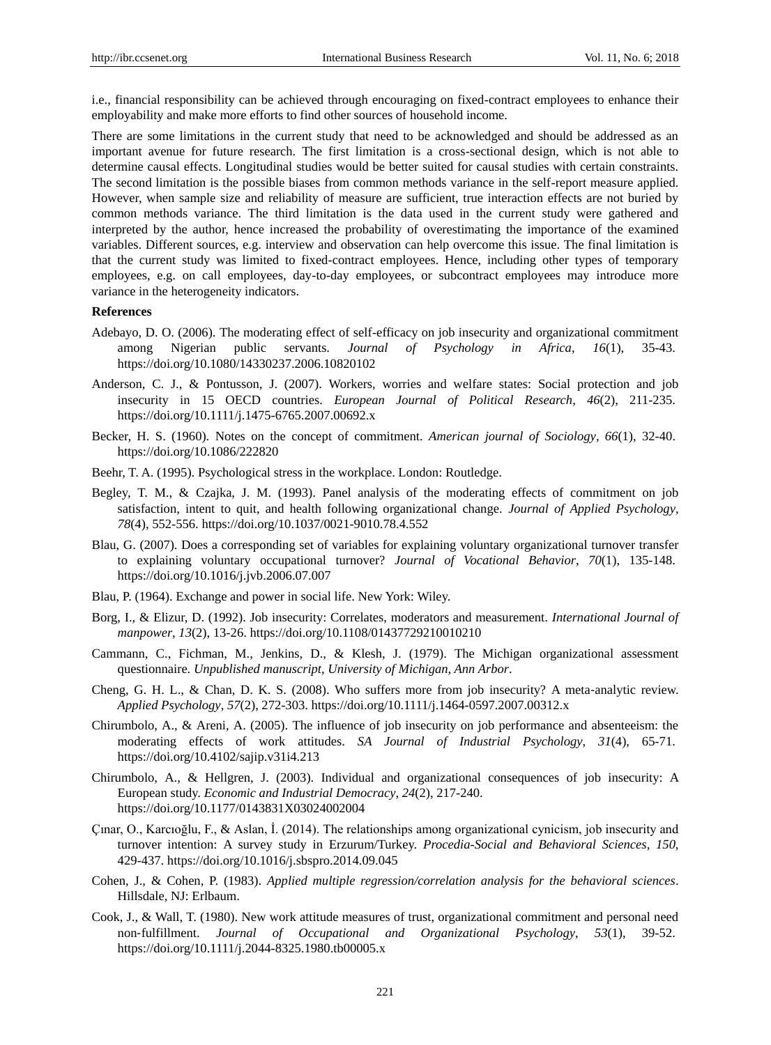i.e., financial responsibility can be achieved through encouraging on fixed-contract employees to enhance their employability and make more efforts to find other sources of household income.

There are some limitations in the current study that need to be acknowledged and should be addressed as an important avenue for future research. The first limitation is a cross-sectional design, which is not able to determine causal effects. Longitudinal studies would be better suited for causal studies with certain constraints. The second limitation is the possible biases from common methods variance in the self-report measure applied. However, when sample size and reliability of measure are sufficient, true interaction effects are not buried by common methods variance. The third limitation is the data used in the current study were gathered and interpreted by the author, hence increased the probability of overestimating the importance of the examined variables. Different sources, e.g. interview and observation can help overcome this issue. The final limitation is that the current study was limited to fixed-contract employees. Hence, including other types of temporary employees, e.g. on call employees, day-to-day employees, or subcontract employees may introduce more variance in the heterogeneity indicators.

#### **References**

- Adebayo, D. O. (2006). The moderating effect of self-efficacy on job insecurity and organizational commitment among Nigerian public servants. *Journal of Psychology in Africa*, *16*(1), 35-43. https://doi.org/10.1080/14330237.2006.10820102
- Anderson, C. J., & Pontusson, J. (2007). Workers, worries and welfare states: Social protection and job insecurity in 15 OECD countries. *European Journal of Political Research*, *46*(2), 211-235. https://doi.org/10.1111/j.1475-6765.2007.00692.x
- Becker, H. S. (1960). Notes on the concept of commitment. *American journal of Sociology*, *66*(1), 32-40. https://doi.org/10.1086/222820
- Beehr, T. A. (1995). Psychological stress in the workplace. London: Routledge.
- Begley, T. M., & Czajka, J. M. (1993). Panel analysis of the moderating effects of commitment on job satisfaction, intent to quit, and health following organizational change. *Journal of Applied Psychology*, *78*(4), 552-556. https://doi.org/10.1037/0021-9010.78.4.552
- Blau, G. (2007). Does a corresponding set of variables for explaining voluntary organizational turnover transfer to explaining voluntary occupational turnover? *Journal of Vocational Behavior*, *70*(1), 135-148. https://doi.org/10.1016/j.jvb.2006.07.007
- Blau, P. (1964). Exchange and power in social life. New York: Wiley.
- Borg, I., & Elizur, D. (1992). Job insecurity: Correlates, moderators and measurement. *International Journal of manpower*, *13*(2), 13-26. https://doi.org/10.1108/01437729210010210
- Cammann, C., Fichman, M., Jenkins, D., & Klesh, J. (1979). The Michigan organizational assessment questionnaire. *Unpublished manuscript, University of Michigan, Ann Arbor*.
- Cheng, G. H. L., & Chan, D. K. S. (2008). Who suffers more from job insecurity? A meta‐analytic review. *Applied Psychology*, *57*(2), 272-303. https://doi.org/10.1111/j.1464-0597.2007.00312.x
- Chirumbolo, A., & Areni, A. (2005). The influence of job insecurity on job performance and absenteeism: the moderating effects of work attitudes. *SA Journal of Industrial Psychology*, *31*(4), 65-71. https://doi.org/10.4102/sajip.v31i4.213
- Chirumbolo, A., & Hellgren, J. (2003). Individual and organizational consequences of job insecurity: A European study. *Economic and Industrial Democracy*, *24*(2), 217-240. https://doi.org/10.1177/0143831X03024002004
- Çınar, O., Karcıoğlu, F., & Aslan, İ. (2014). The relationships among organizational cynicism, job insecurity and turnover intention: A survey study in Erzurum/Turkey. *Procedia-Social and Behavioral Sciences*, *150*, 429-437. https://doi.org/10.1016/j.sbspro.2014.09.045
- Cohen, J., & Cohen, P. (1983). *Applied multiple regression/correlation analysis for the behavioral sciences*. Hillsdale, NJ: Erlbaum.
- Cook, J., & Wall, T. (1980). New work attitude measures of trust, organizational commitment and personal need non‐fulfillment. *Journal of Occupational and Organizational Psychology*, *53*(1), 39-52. https://doi.org/10.1111/j.2044-8325.1980.tb00005.x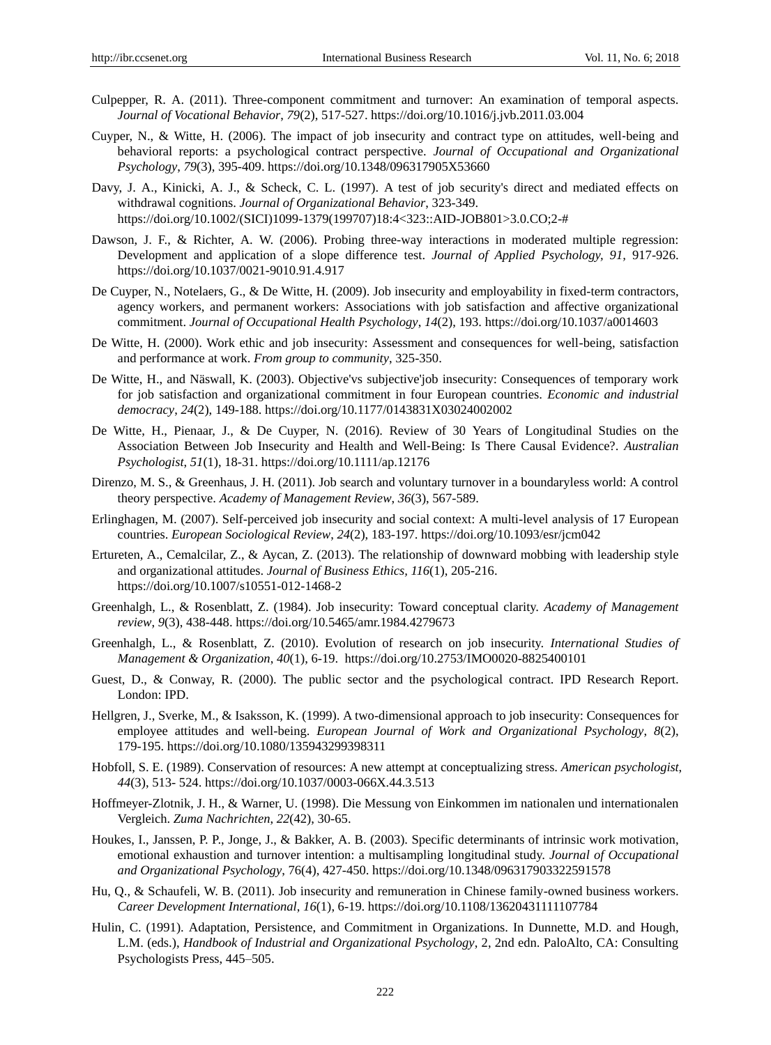- Culpepper, R. A. (2011). Three-component commitment and turnover: An examination of temporal aspects. *Journal of Vocational Behavior*, *79*(2), 517-527. https://doi.org/10.1016/j.jvb.2011.03.004
- Cuyper, N., & Witte, H. (2006). The impact of job insecurity and contract type on attitudes, well‐being and behavioral reports: a psychological contract perspective. *Journal of Occupational and Organizational Psychology*, *79*(3), 395-409. https://doi.org/10.1348/096317905X53660
- Davy, J. A., Kinicki, A. J., & Scheck, C. L. (1997). A test of job security's direct and mediated effects on withdrawal cognitions. *Journal of Organizational Behavior*, 323-349. https://doi.org/10.1002/(SICI)1099-1379(199707)18:4<323::AID-JOB801>3.0.CO;2-#
- Dawson, J. F., & Richter, A. W. (2006). Probing three-way interactions in moderated multiple regression: Development and application of a slope difference test. *Journal of Applied Psychology, 91,* 917-926. https://doi.org/10.1037/0021-9010.91.4.917
- De Cuyper, N., Notelaers, G., & De Witte, H. (2009). Job insecurity and employability in fixed-term contractors, agency workers, and permanent workers: Associations with job satisfaction and affective organizational commitment. *Journal of Occupational Health Psychology*, *14*(2), 193. https://doi.org/10.1037/a0014603
- De Witte, H. (2000). Work ethic and job insecurity: Assessment and consequences for well-being, satisfaction and performance at work. *From group to community*, 325-350.
- De Witte, H., and Näswall, K. (2003). Objective'vs subjective'job insecurity: Consequences of temporary work for job satisfaction and organizational commitment in four European countries. *Economic and industrial democracy*, *24*(2), 149-188. https://doi.org/10.1177/0143831X03024002002
- De Witte, H., Pienaar, J., & De Cuyper, N. (2016). Review of 30 Years of Longitudinal Studies on the Association Between Job Insecurity and Health and Well‐Being: Is There Causal Evidence?. *Australian Psychologist*, *51*(1), 18-31. https://doi.org/10.1111/ap.12176
- Direnzo, M. S., & Greenhaus, J. H. (2011). Job search and voluntary turnover in a boundaryless world: A control theory perspective. *Academy of Management Review*, *36*(3), 567-589.
- Erlinghagen, M. (2007). Self-perceived job insecurity and social context: A multi-level analysis of 17 European countries. *European Sociological Review*, *24*(2), 183-197. https://doi.org/10.1093/esr/jcm042
- Ertureten, A., Cemalcilar, Z., & Aycan, Z. (2013). The relationship of downward mobbing with leadership style and organizational attitudes. *Journal of Business Ethics, 116*(1), 205-216. https://doi.org/10.1007/s10551-012-1468-2
- Greenhalgh, L., & Rosenblatt, Z. (1984). Job insecurity: Toward conceptual clarity. *Academy of Management review*, *9*(3), 438-448. https://doi.org/10.5465/amr.1984.4279673
- Greenhalgh, L., & Rosenblatt, Z. (2010). Evolution of research on job insecurity. *International Studies of Management & Organization*, *40*(1), 6-19. https://doi.org/10.2753/IMO0020-8825400101
- Guest, D., & Conway, R. (2000). The public sector and the psychological contract. IPD Research Report. London: IPD.
- Hellgren, J., Sverke, M., & Isaksson, K. (1999). A two-dimensional approach to job insecurity: Consequences for employee attitudes and well-being. *European Journal of Work and Organizational Psychology*, *8*(2), 179-195. https://doi.org/10.1080/135943299398311
- Hobfoll, S. E. (1989). Conservation of resources: A new attempt at conceptualizing stress. *American psychologist*, *44*(3), 513- 524. https://doi.org/10.1037/0003-066X.44.3.513
- Hoffmeyer-Zlotnik, J. H., & Warner, U. (1998). Die Messung von Einkommen im nationalen und internationalen Vergleich. *Zuma Nachrichten*, *22*(42), 30-65.
- Houkes, I., Janssen, P. P., Jonge, J., & Bakker, A. B. (2003). Specific determinants of intrinsic work motivation, emotional exhaustion and turnover intention: a multisampling longitudinal study. *Journal of Occupational and Organizational Psychology*, 76(4), 427-450. https://doi.org/10.1348/096317903322591578
- Hu, Q., & Schaufeli, W. B. (2011). Job insecurity and remuneration in Chinese family-owned business workers. *Career Development International*, *16*(1), 6-19. https://doi.org/10.1108/13620431111107784
- Hulin, C. (1991). Adaptation, Persistence, and Commitment in Organizations. In Dunnette, M.D. and Hough, L.M. (eds.), *Handbook of Industrial and Organizational Psychology*, 2, 2nd edn. PaloAlto, CA: Consulting Psychologists Press, 445–505.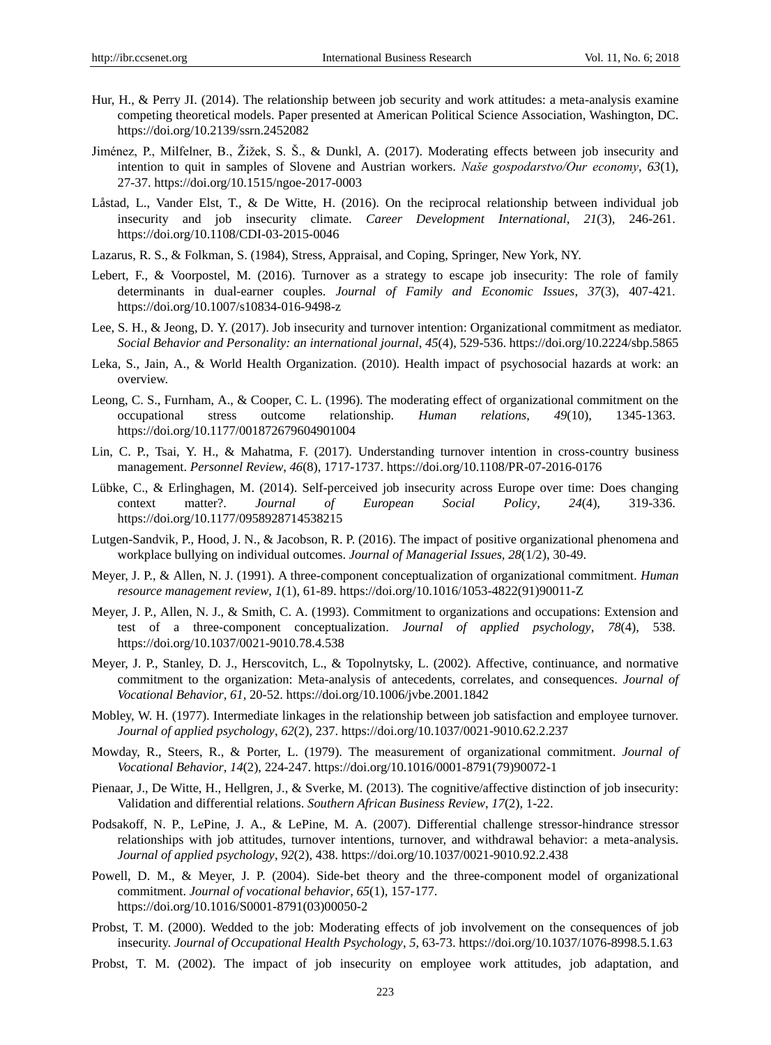- Hur, H., & Perry JI. (2014). The relationship between job security and work attitudes: a meta-analysis examine competing theoretical models. Paper presented at American Political Science Association, Washington, DC. https://doi.org/10.2139/ssrn.2452082
- Jiménez, P., Milfelner, B., Žižek, S. Š., & Dunkl, A. (2017). Moderating effects between job insecurity and intention to quit in samples of Slovene and Austrian workers. *Naše gospodarstvo/Our economy*, *63*(1), 27-37. https://doi.org/10.1515/ngoe-2017-0003
- Låstad, L., Vander Elst, T., & De Witte, H. (2016). On the reciprocal relationship between individual job insecurity and job insecurity climate. *Career Development International*, *21*(3), 246-261. https://doi.org/10.1108/CDI-03-2015-0046
- Lazarus, R. S., & Folkman, S. (1984), Stress, Appraisal, and Coping, Springer, New York, NY.
- Lebert, F., & Voorpostel, M. (2016). Turnover as a strategy to escape job insecurity: The role of family determinants in dual-earner couples. *Journal of Family and Economic Issues*, *37*(3), 407-421. https://doi.org/10.1007/s10834-016-9498-z
- Lee, S. H., & Jeong, D. Y. (2017). Job insecurity and turnover intention: Organizational commitment as mediator. *Social Behavior and Personality: an international journal*, *45*(4), 529-536. https://doi.org/10.2224/sbp.5865
- Leka, S., Jain, A., & World Health Organization. (2010). Health impact of psychosocial hazards at work: an overview.
- Leong, C. S., Furnham, A., & Cooper, C. L. (1996). The moderating effect of organizational commitment on the occupational stress outcome relationship. *Human relations*, *49*(10), 1345-1363. https://doi.org/10.1177/001872679604901004
- Lin, C. P., Tsai, Y. H., & Mahatma, F. (2017). Understanding turnover intention in cross-country business management. *Personnel Review*, *46*(8), 1717-1737. https://doi.org/10.1108/PR-07-2016-0176
- Lübke, C., & Erlinghagen, M. (2014). Self-perceived job insecurity across Europe over time: Does changing context matter?. *Journal of European Social Policy*, *24*(4), 319-336. https://doi.org/10.1177/0958928714538215
- Lutgen-Sandvik, P., Hood, J. N., & Jacobson, R. P. (2016). The impact of positive organizational phenomena and workplace bullying on individual outcomes. *Journal of Managerial Issues, 28*(1/2), 30-49.
- Meyer, J. P., & Allen, N. J. (1991). A three-component conceptualization of organizational commitment. *Human resource management review*, *1*(1), 61-89. https://doi.org/10.1016/1053-4822(91)90011-Z
- Meyer, J. P., Allen, N. J., & Smith, C. A. (1993). Commitment to organizations and occupations: Extension and test of a three-component conceptualization. *Journal of applied psychology*, *78*(4), 538. https://doi.org/10.1037/0021-9010.78.4.538
- Meyer, J. P., Stanley, D. J., Herscovitch, L., & Topolnytsky, L. (2002). Affective, continuance, and normative commitment to the organization: Meta-analysis of antecedents, correlates, and consequences. *Journal of Vocational Behavior, 61,* 20-52. https://doi.org/10.1006/jvbe.2001.1842
- Mobley, W. H. (1977). Intermediate linkages in the relationship between job satisfaction and employee turnover. *Journal of applied psychology*, *62*(2), 237. https://doi.org/10.1037/0021-9010.62.2.237
- Mowday, R., Steers, R., & Porter, L. (1979). The measurement of organizational commitment. *Journal of Vocational Behavior*, *14*(2), 224-247. https://doi.org/10.1016/0001-8791(79)90072-1
- Pienaar, J., De Witte, H., Hellgren, J., & Sverke, M. (2013). The cognitive/affective distinction of job insecurity: Validation and differential relations. *Southern African Business Review*, *17*(2), 1-22.
- Podsakoff, N. P., LePine, J. A., & LePine, M. A. (2007). Differential challenge stressor-hindrance stressor relationships with job attitudes, turnover intentions, turnover, and withdrawal behavior: a meta-analysis. *Journal of applied psychology*, *92*(2), 438. https://doi.org/10.1037/0021-9010.92.2.438
- Powell, D. M., & Meyer, J. P. (2004). Side-bet theory and the three-component model of organizational commitment. *Journal of vocational behavior*, *65*(1), 157-177. https://doi.org/10.1016/S0001-8791(03)00050-2
- Probst, T. M. (2000). Wedded to the job: Moderating effects of job involvement on the consequences of job insecurity. *Journal of Occupational Health Psychology*, *5,* 63-73. https://doi.org/10.1037/1076-8998.5.1.63
- Probst, T. M. (2002). The impact of job insecurity on employee work attitudes, job adaptation, and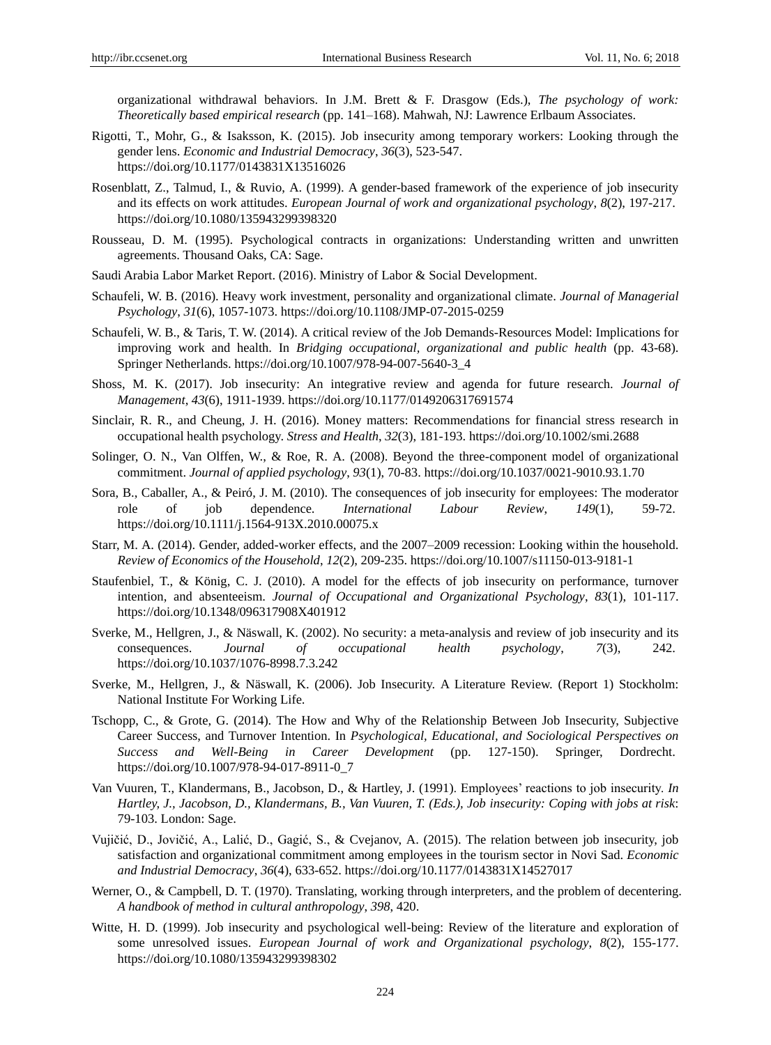organizational withdrawal behaviors. In J.M. Brett & F. Drasgow (Eds.), *The psychology of work: Theoretically based empirical research* (pp. 141–168). Mahwah, NJ: Lawrence Erlbaum Associates.

- Rigotti, T., Mohr, G., & Isaksson, K. (2015). Job insecurity among temporary workers: Looking through the gender lens. *Economic and Industrial Democracy*, *36*(3), 523-547. https://doi.org/10.1177/0143831X13516026
- Rosenblatt, Z., Talmud, I., & Ruvio, A. (1999). A gender-based framework of the experience of job insecurity and its effects on work attitudes. *European Journal of work and organizational psychology*, *8*(2), 197-217. https://doi.org/10.1080/135943299398320
- Rousseau, D. M. (1995). Psychological contracts in organizations: Understanding written and unwritten agreements. Thousand Oaks, CA: Sage.
- Saudi Arabia Labor Market Report. (2016). Ministry of Labor & Social Development.
- Schaufeli, W. B. (2016). Heavy work investment, personality and organizational climate. *Journal of Managerial Psychology*, *31*(6), 1057-1073. https://doi.org/10.1108/JMP-07-2015-0259
- Schaufeli, W. B., & Taris, T. W. (2014). A critical review of the Job Demands-Resources Model: Implications for improving work and health. In *Bridging occupational, organizational and public health* (pp. 43-68). Springer Netherlands. https://doi.org/10.1007/978-94-007-5640-3\_4
- Shoss, M. K. (2017). Job insecurity: An integrative review and agenda for future research. *Journal of Management*, *43*(6), 1911-1939. https://doi.org/10.1177/0149206317691574
- Sinclair, R. R., and Cheung, J. H. (2016). Money matters: Recommendations for financial stress research in occupational health psychology. *Stress and Health*, *32*(3), 181-193. https://doi.org/10.1002/smi.2688
- Solinger, O. N., Van Olffen, W., & Roe, R. A. (2008). Beyond the three-component model of organizational commitment. *Journal of applied psychology*, *93*(1), 70-83. https://doi.org/10.1037/0021-9010.93.1.70
- Sora, B., Caballer, A., & Peiró, J. M. (2010). The consequences of job insecurity for employees: The moderator role of job dependence. *International Labour Review*, *149*(1), 59-72. https://doi.org/10.1111/j.1564-913X.2010.00075.x
- Starr, M. A. (2014). Gender, added-worker effects, and the 2007–2009 recession: Looking within the household. *Review of Economics of the Household*, *12*(2), 209-235. https://doi.org/10.1007/s11150-013-9181-1
- Staufenbiel, T., & König, C. J. (2010). A model for the effects of job insecurity on performance, turnover intention, and absenteeism. *Journal of Occupational and Organizational Psychology*, *83*(1), 101-117. https://doi.org/10.1348/096317908X401912
- Sverke, M., Hellgren, J., & Näswall, K. (2002). No security: a meta-analysis and review of job insecurity and its consequences. *Journal of occupational health psychology*, *7*(3), 242. https://doi.org/10.1037/1076-8998.7.3.242
- Sverke, M., Hellgren, J., & Näswall, K. (2006). Job Insecurity. A Literature Review. (Report 1) Stockholm: National Institute For Working Life.
- Tschopp, C., & Grote, G. (2014). The How and Why of the Relationship Between Job Insecurity, Subjective Career Success, and Turnover Intention. In *Psychological, Educational, and Sociological Perspectives on Success and Well-Being in Career Development* (pp. 127-150). Springer, Dordrecht. https://doi.org/10.1007/978-94-017-8911-0\_7
- Van Vuuren, T., Klandermans, B., Jacobson, D., & Hartley, J. (1991). Employees' reactions to job insecurity. *In Hartley, J., Jacobson, D., Klandermans, B., Van Vuuren, T. (Eds.), Job insecurity: Coping with jobs at risk*: 79-103. London: Sage.
- Vujičić, D., Jovičić, A., Lalić, D., Gagić, S., & Cvejanov, A. (2015). The relation between job insecurity, job satisfaction and organizational commitment among employees in the tourism sector in Novi Sad. *Economic and Industrial Democracy*, *36*(4), 633-652. https://doi.org/10.1177/0143831X14527017
- Werner, O., & Campbell, D. T. (1970). Translating, working through interpreters, and the problem of decentering. *A handbook of method in cultural anthropology*, *398*, 420.
- Witte, H. D. (1999). Job insecurity and psychological well-being: Review of the literature and exploration of some unresolved issues. *European Journal of work and Organizational psychology*, *8*(2), 155-177. https://doi.org/10.1080/135943299398302